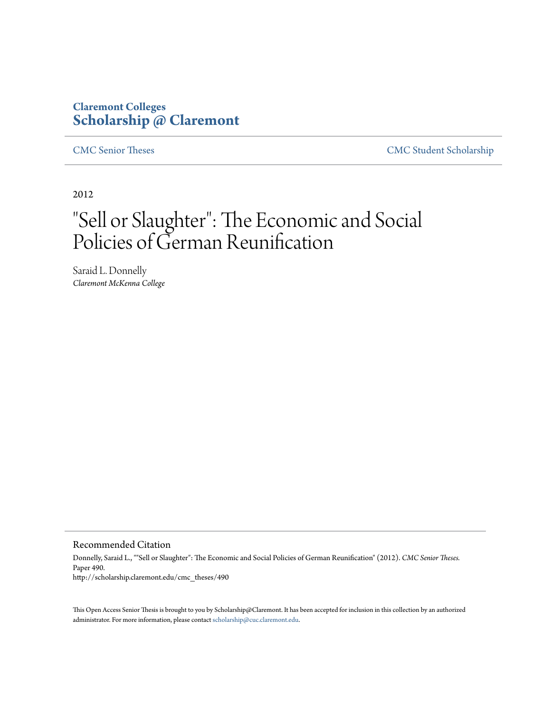# **Claremont Colleges [Scholarship @ Claremont](http://scholarship.claremont.edu)**

[CMC Senior Theses](http://scholarship.claremont.edu/cmc_theses) [CMC Student Scholarship](http://scholarship.claremont.edu/cmc_student)

2012

# "Sell or Slaughter": The Economic and Social Policies of German Reunification

Saraid L. Donnelly *Claremont McKenna College*

Recommended Citation

Donnelly, Saraid L., ""Sell or Slaughter": The Economic and Social Policies of German Reunification" (2012). *CMC Senior Theses.* Paper 490. http://scholarship.claremont.edu/cmc\_theses/490

This Open Access Senior Thesis is brought to you by Scholarship@Claremont. It has been accepted for inclusion in this collection by an authorized administrator. For more information, please contact [scholarship@cuc.claremont.edu.](mailto:scholarship@cuc.claremont.edu)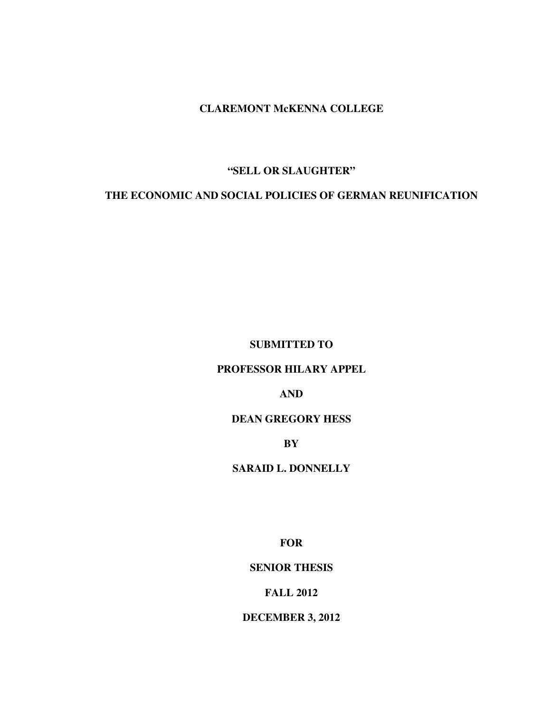**CLAREMONT McKENNA COLLEGE**

## **"SELL OR SLAUGHTER"**

# **THE ECONOMIC AND SOCIAL POLICIES OF GERMAN REUNIFICATION**

**SUBMITTED TO** 

#### **PROFESSOR HILARY APPEL**

**AND** 

#### **DEAN GREGORY HESS**

**BY** 

#### **SARAID L. DONNELLY**

**FOR** 

**SENIOR THESIS** 

#### **FALL 2012**

**DECEMBER 3, 2012**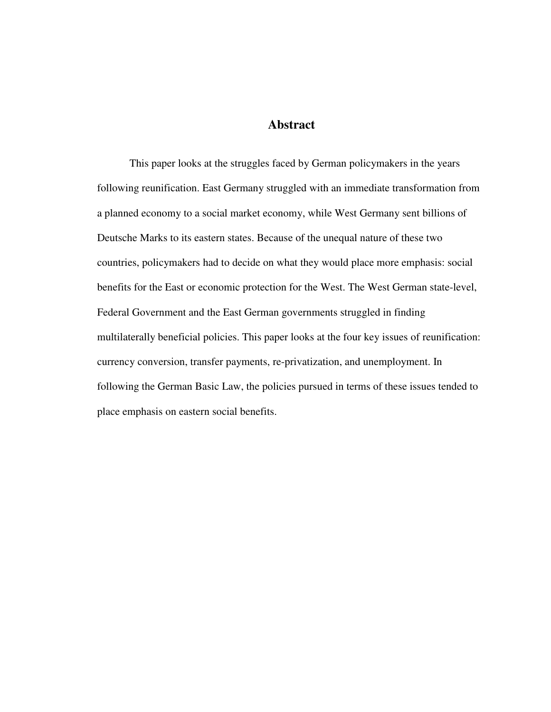# **Abstract**

This paper looks at the struggles faced by German policymakers in the years following reunification. East Germany struggled with an immediate transformation from a planned economy to a social market economy, while West Germany sent billions of Deutsche Marks to its eastern states. Because of the unequal nature of these two countries, policymakers had to decide on what they would place more emphasis: social benefits for the East or economic protection for the West. The West German state-level, Federal Government and the East German governments struggled in finding multilaterally beneficial policies. This paper looks at the four key issues of reunification: currency conversion, transfer payments, re-privatization, and unemployment. In following the German Basic Law, the policies pursued in terms of these issues tended to place emphasis on eastern social benefits.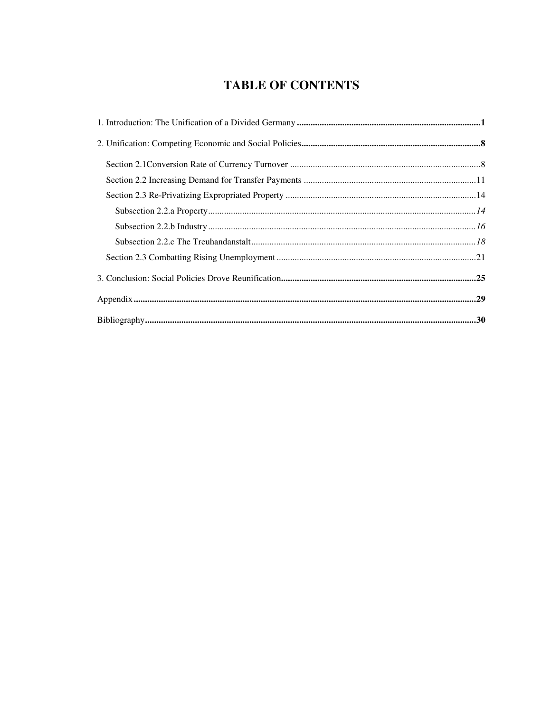# **TABLE OF CONTENTS**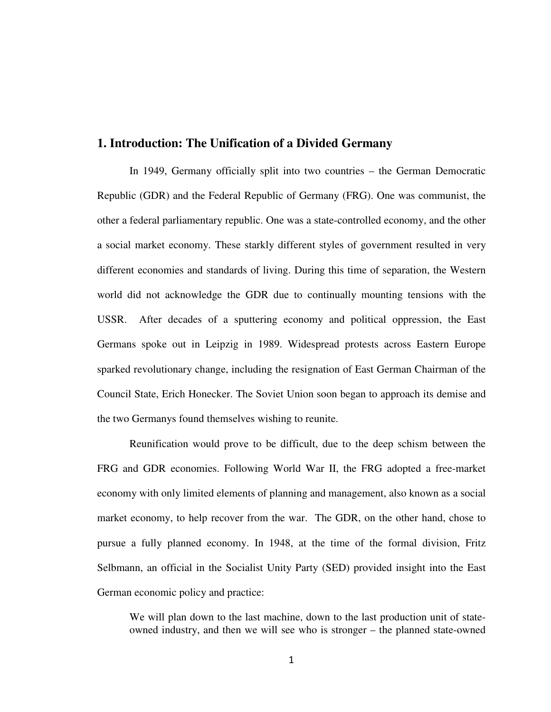## **1. Introduction: The Unification of a Divided Germany**

In 1949, Germany officially split into two countries – the German Democratic Republic (GDR) and the Federal Republic of Germany (FRG). One was communist, the other a federal parliamentary republic. One was a state-controlled economy, and the other a social market economy. These starkly different styles of government resulted in very different economies and standards of living. During this time of separation, the Western world did not acknowledge the GDR due to continually mounting tensions with the USSR. After decades of a sputtering economy and political oppression, the East Germans spoke out in Leipzig in 1989. Widespread protests across Eastern Europe sparked revolutionary change, including the resignation of East German Chairman of the Council State, Erich Honecker. The Soviet Union soon began to approach its demise and the two Germanys found themselves wishing to reunite.

Reunification would prove to be difficult, due to the deep schism between the FRG and GDR economies. Following World War II, the FRG adopted a free-market economy with only limited elements of planning and management, also known as a social market economy, to help recover from the war. The GDR, on the other hand, chose to pursue a fully planned economy. In 1948, at the time of the formal division, Fritz Selbmann, an official in the Socialist Unity Party (SED) provided insight into the East German economic policy and practice:

We will plan down to the last machine, down to the last production unit of stateowned industry, and then we will see who is stronger – the planned state-owned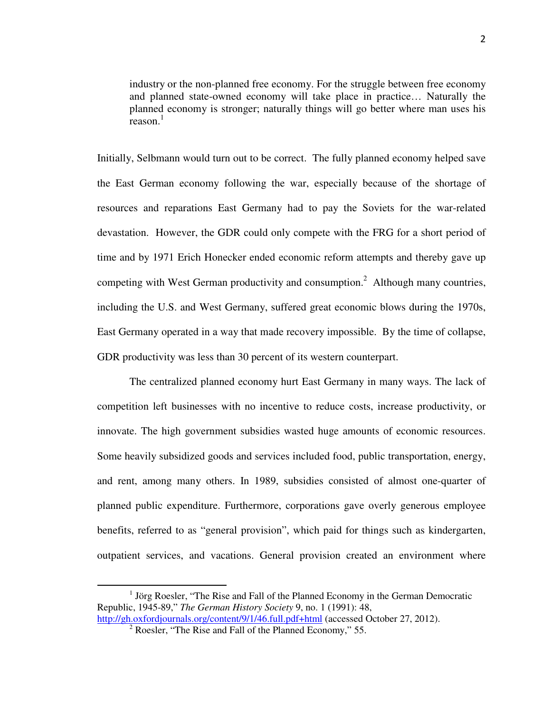industry or the non-planned free economy. For the struggle between free economy and planned state-owned economy will take place in practice… Naturally the planned economy is stronger; naturally things will go better where man uses his reason.<sup>1</sup>

Initially, Selbmann would turn out to be correct. The fully planned economy helped save the East German economy following the war, especially because of the shortage of resources and reparations East Germany had to pay the Soviets for the war-related devastation. However, the GDR could only compete with the FRG for a short period of time and by 1971 Erich Honecker ended economic reform attempts and thereby gave up competing with West German productivity and consumption.<sup>2</sup> Although many countries, including the U.S. and West Germany, suffered great economic blows during the 1970s, East Germany operated in a way that made recovery impossible. By the time of collapse, GDR productivity was less than 30 percent of its western counterpart.

 The centralized planned economy hurt East Germany in many ways. The lack of competition left businesses with no incentive to reduce costs, increase productivity, or innovate. The high government subsidies wasted huge amounts of economic resources. Some heavily subsidized goods and services included food, public transportation, energy, and rent, among many others. In 1989, subsidies consisted of almost one-quarter of planned public expenditure. Furthermore, corporations gave overly generous employee benefits, referred to as "general provision", which paid for things such as kindergarten, outpatient services, and vacations. General provision created an environment where

 $\overline{a}$ 

<sup>&</sup>lt;sup>1</sup> Jörg Roesler, "The Rise and Fall of the Planned Economy in the German Democratic Republic, 1945-89," *The German History Society* 9, no. 1 (1991): 48,

http://gh.oxfordjournals.org/content/9/1/46.full.pdf+html (accessed October 27, 2012).

<sup>&</sup>lt;sup>2</sup> Roesler, "The Rise and Fall of the Planned Economy," 55.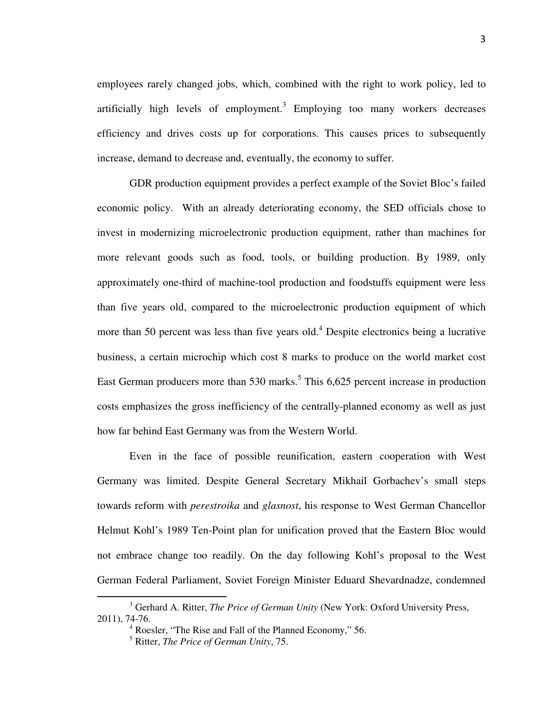employees rarely changed jobs, which, combined with the right to work policy, led to artificially high levels of employment. $3$  Employing too many workers decreases efficiency and drives costs up for corporations. This causes prices to subsequently increase, demand to decrease and, eventually, the economy to suffer.

GDR production equipment provides a perfect example of the Soviet Bloc's failed economic policy. With an already deteriorating economy, the SED officials chose to invest in modernizing microelectronic production equipment, rather than machines for more relevant goods such as food, tools, or building production. By 1989, only approximately one-third of machine-tool production and foodstuffs equipment were less than five years old, compared to the microelectronic production equipment of which more than 50 percent was less than five years old.<sup>4</sup> Despite electronics being a lucrative business, a certain microchip which cost 8 marks to produce on the world market cost East German producers more than 530 marks.<sup>5</sup> This 6,625 percent increase in production costs emphasizes the gross inefficiency of the centrally-planned economy as well as just how far behind East Germany was from the Western World.

Even in the face of possible reunification, eastern cooperation with West Germany was limited. Despite General Secretary Mikhail Gorbachev's small steps towards reform with *perestroika* and *glasnost*, his response to West German Chancellor Helmut Kohl's 1989 Ten-Point plan for unification proved that the Eastern Bloc would not embrace change too readily. On the day following Kohl's proposal to the West German Federal Parliament, Soviet Foreign Minister Eduard Shevardnadze, condemned

<sup>3</sup> Gerhard A. Ritter, *The Price of German Unity* (New York: Oxford University Press, 2011), 74-76.

<sup>4</sup> Roesler, "The Rise and Fall of the Planned Economy," 56.

<sup>5</sup> Ritter, *The Price of German Unity*, 75.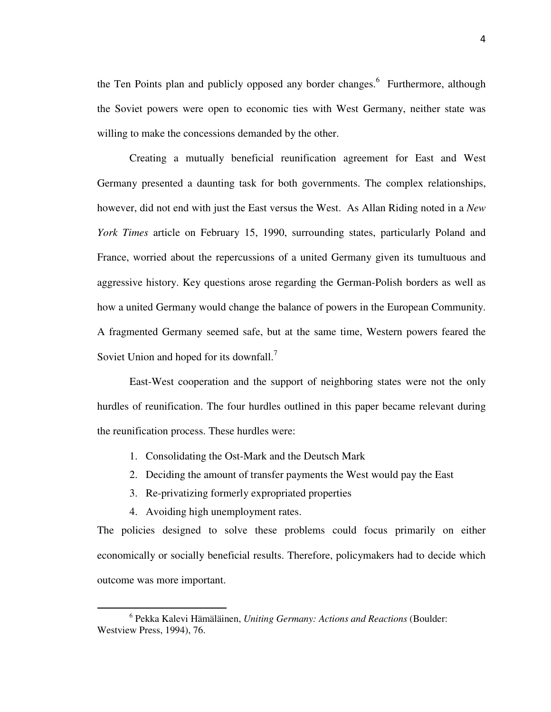the Ten Points plan and publicly opposed any border changes.<sup>6</sup> Furthermore, although the Soviet powers were open to economic ties with West Germany, neither state was willing to make the concessions demanded by the other.

Creating a mutually beneficial reunification agreement for East and West Germany presented a daunting task for both governments. The complex relationships, however, did not end with just the East versus the West. As Allan Riding noted in a *New York Times* article on February 15, 1990, surrounding states, particularly Poland and France, worried about the repercussions of a united Germany given its tumultuous and aggressive history. Key questions arose regarding the German-Polish borders as well as how a united Germany would change the balance of powers in the European Community. A fragmented Germany seemed safe, but at the same time, Western powers feared the Soviet Union and hoped for its downfall.<sup>7</sup>

East-West cooperation and the support of neighboring states were not the only hurdles of reunification. The four hurdles outlined in this paper became relevant during the reunification process. These hurdles were:

- 1. Consolidating the Ost-Mark and the Deutsch Mark
- 2. Deciding the amount of transfer payments the West would pay the East
- 3. Re-privatizing formerly expropriated properties
- 4. Avoiding high unemployment rates.

.

The policies designed to solve these problems could focus primarily on either economically or socially beneficial results. Therefore, policymakers had to decide which outcome was more important.

<sup>6</sup> Pekka Kalevi Hämäläinen, *Uniting Germany: Actions and Reactions* (Boulder: Westview Press, 1994), 76.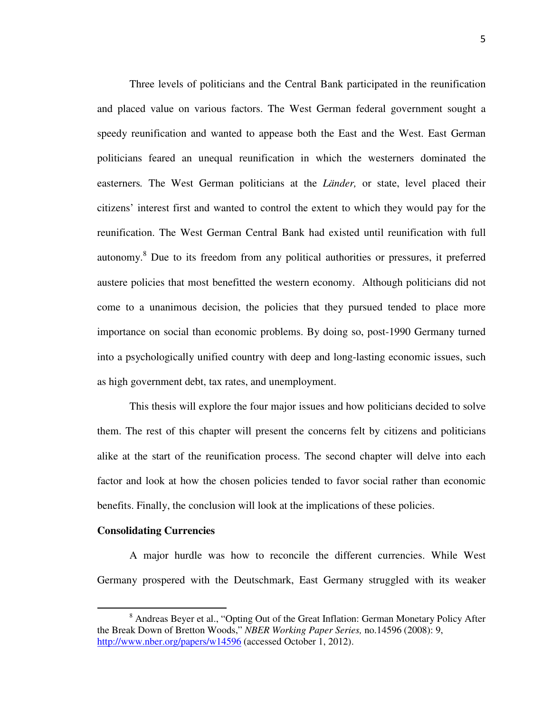Three levels of politicians and the Central Bank participated in the reunification and placed value on various factors. The West German federal government sought a speedy reunification and wanted to appease both the East and the West. East German politicians feared an unequal reunification in which the westerners dominated the easterners*.* The West German politicians at the *Länder,* or state, level placed their citizens' interest first and wanted to control the extent to which they would pay for the reunification. The West German Central Bank had existed until reunification with full autonomy.<sup>8</sup> Due to its freedom from any political authorities or pressures, it preferred austere policies that most benefitted the western economy. Although politicians did not come to a unanimous decision, the policies that they pursued tended to place more importance on social than economic problems. By doing so, post-1990 Germany turned into a psychologically unified country with deep and long-lasting economic issues, such as high government debt, tax rates, and unemployment.

This thesis will explore the four major issues and how politicians decided to solve them. The rest of this chapter will present the concerns felt by citizens and politicians alike at the start of the reunification process. The second chapter will delve into each factor and look at how the chosen policies tended to favor social rather than economic benefits. Finally, the conclusion will look at the implications of these policies.

#### **Consolidating Currencies**

֬֒

 A major hurdle was how to reconcile the different currencies. While West Germany prospered with the Deutschmark, East Germany struggled with its weaker

<sup>&</sup>lt;sup>8</sup> Andreas Beyer et al., "Opting Out of the Great Inflation: German Monetary Policy After the Break Down of Bretton Woods," *NBER Working Paper Series,* no.14596 (2008): 9, http://www.nber.org/papers/w14596 (accessed October 1, 2012).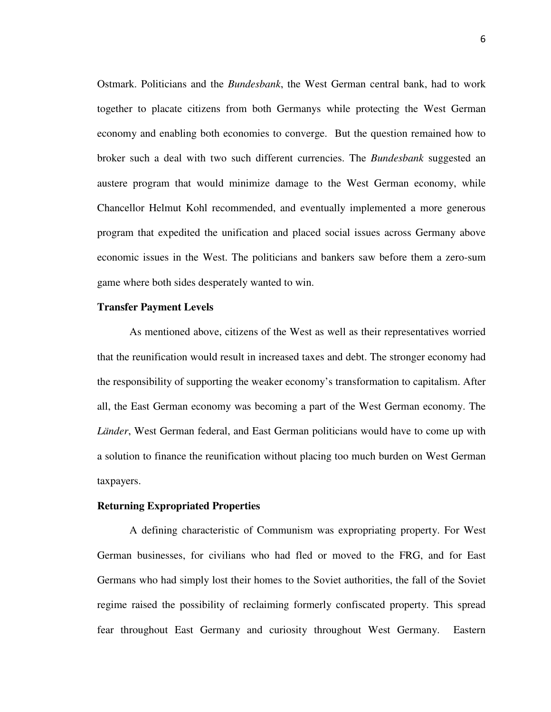Ostmark. Politicians and the *Bundesbank*, the West German central bank, had to work together to placate citizens from both Germanys while protecting the West German economy and enabling both economies to converge. But the question remained how to broker such a deal with two such different currencies. The *Bundesbank* suggested an austere program that would minimize damage to the West German economy, while Chancellor Helmut Kohl recommended, and eventually implemented a more generous program that expedited the unification and placed social issues across Germany above economic issues in the West. The politicians and bankers saw before them a zero-sum game where both sides desperately wanted to win.

#### **Transfer Payment Levels**

As mentioned above, citizens of the West as well as their representatives worried that the reunification would result in increased taxes and debt. The stronger economy had the responsibility of supporting the weaker economy's transformation to capitalism. After all, the East German economy was becoming a part of the West German economy. The *Länder*, West German federal, and East German politicians would have to come up with a solution to finance the reunification without placing too much burden on West German taxpayers.

#### **Returning Expropriated Properties**

 A defining characteristic of Communism was expropriating property. For West German businesses, for civilians who had fled or moved to the FRG, and for East Germans who had simply lost their homes to the Soviet authorities, the fall of the Soviet regime raised the possibility of reclaiming formerly confiscated property. This spread fear throughout East Germany and curiosity throughout West Germany. Eastern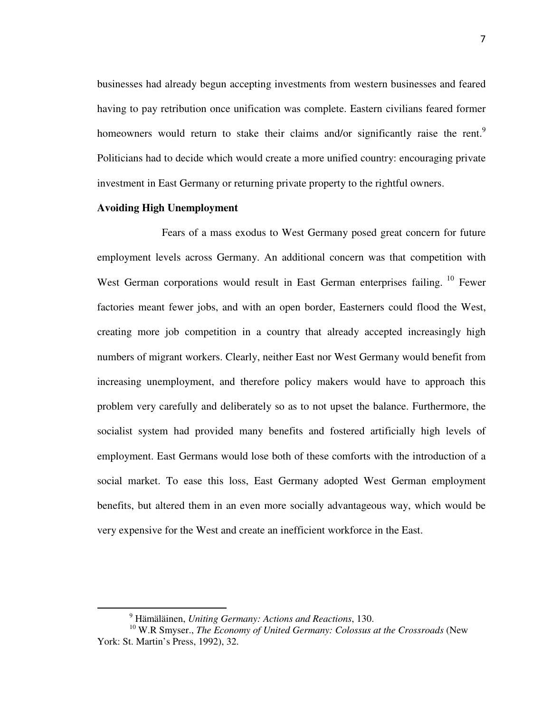businesses had already begun accepting investments from western businesses and feared having to pay retribution once unification was complete. Eastern civilians feared former homeowners would return to stake their claims and/or significantly raise the rent.<sup>9</sup> Politicians had to decide which would create a more unified country: encouraging private investment in East Germany or returning private property to the rightful owners.

#### **Avoiding High Unemployment**

֬֒

 Fears of a mass exodus to West Germany posed great concern for future employment levels across Germany. An additional concern was that competition with West German corporations would result in East German enterprises failing.<sup>10</sup> Fewer factories meant fewer jobs, and with an open border, Easterners could flood the West, creating more job competition in a country that already accepted increasingly high numbers of migrant workers. Clearly, neither East nor West Germany would benefit from increasing unemployment, and therefore policy makers would have to approach this problem very carefully and deliberately so as to not upset the balance. Furthermore, the socialist system had provided many benefits and fostered artificially high levels of employment. East Germans would lose both of these comforts with the introduction of a social market. To ease this loss, East Germany adopted West German employment benefits, but altered them in an even more socially advantageous way, which would be very expensive for the West and create an inefficient workforce in the East.

<sup>9</sup> Hämäläinen, *Uniting Germany: Actions and Reactions*, 130.

<sup>&</sup>lt;sup>10</sup> W.R Smyser., *The Economy of United Germany: Colossus at the Crossroads* (New York: St. Martin's Press, 1992), 32.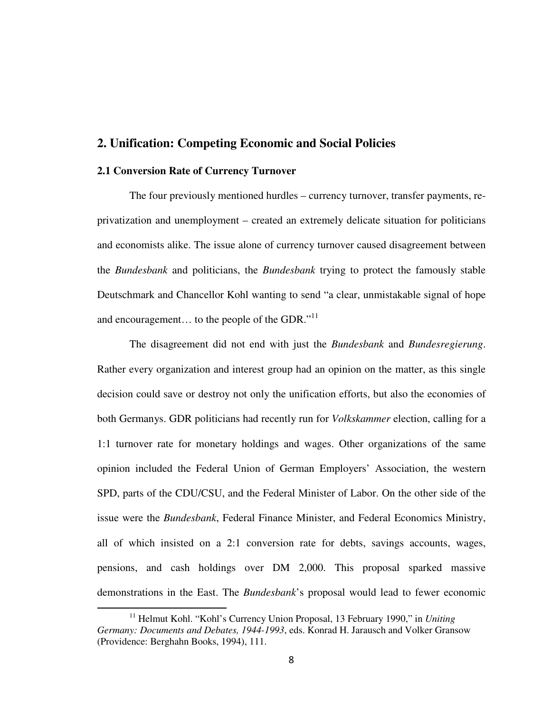## **2. Unification: Competing Economic and Social Policies**

#### **2.1 Conversion Rate of Currency Turnover**

֬֒

 The four previously mentioned hurdles – currency turnover, transfer payments, reprivatization and unemployment – created an extremely delicate situation for politicians and economists alike. The issue alone of currency turnover caused disagreement between the *Bundesbank* and politicians, the *Bundesbank* trying to protect the famously stable Deutschmark and Chancellor Kohl wanting to send "a clear, unmistakable signal of hope and encouragement... to the people of the GDR."<sup>11</sup>

The disagreement did not end with just the *Bundesbank* and *Bundesregierung*. Rather every organization and interest group had an opinion on the matter, as this single decision could save or destroy not only the unification efforts, but also the economies of both Germanys. GDR politicians had recently run for *Volkskammer* election, calling for a 1:1 turnover rate for monetary holdings and wages. Other organizations of the same opinion included the Federal Union of German Employers' Association, the western SPD, parts of the CDU/CSU, and the Federal Minister of Labor. On the other side of the issue were the *Bundesbank*, Federal Finance Minister, and Federal Economics Ministry, all of which insisted on a 2:1 conversion rate for debts, savings accounts, wages, pensions, and cash holdings over DM 2,000. This proposal sparked massive demonstrations in the East. The *Bundesbank*'s proposal would lead to fewer economic

<sup>&</sup>lt;sup>11</sup> Helmut Kohl. "Kohl's Currency Union Proposal, 13 February 1990," in *Uniting Germany: Documents and Debates, 1944-1993*, eds. Konrad H. Jarausch and Volker Gransow (Providence: Berghahn Books, 1994), 111.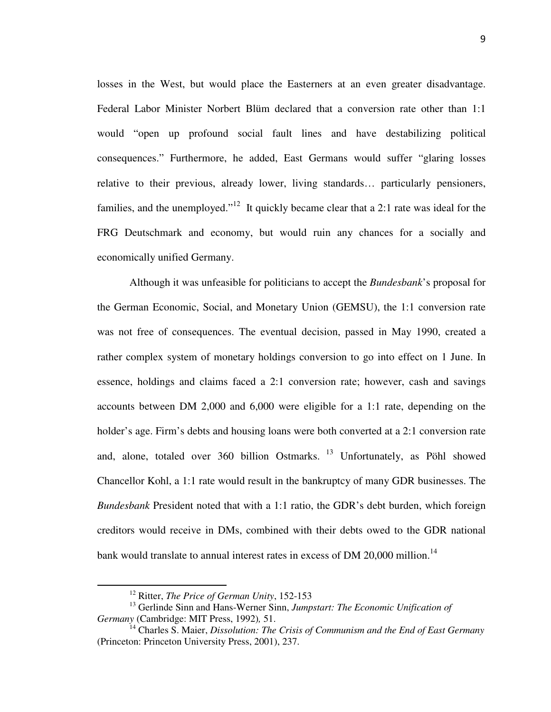losses in the West, but would place the Easterners at an even greater disadvantage. Federal Labor Minister Norbert Blüm declared that a conversion rate other than 1:1 would "open up profound social fault lines and have destabilizing political consequences." Furthermore, he added, East Germans would suffer "glaring losses relative to their previous, already lower, living standards… particularly pensioners, families, and the unemployed."<sup>12</sup> It quickly became clear that a 2:1 rate was ideal for the FRG Deutschmark and economy, but would ruin any chances for a socially and economically unified Germany.

Although it was unfeasible for politicians to accept the *Bundesbank*'s proposal for the German Economic, Social, and Monetary Union (GEMSU), the 1:1 conversion rate was not free of consequences. The eventual decision, passed in May 1990, created a rather complex system of monetary holdings conversion to go into effect on 1 June. In essence, holdings and claims faced a 2:1 conversion rate; however, cash and savings accounts between DM 2,000 and 6,000 were eligible for a 1:1 rate, depending on the holder's age. Firm's debts and housing loans were both converted at a 2:1 conversion rate and, alone, totaled over 360 billion Ostmarks.<sup>13</sup> Unfortunately, as Pöhl showed Chancellor Kohl, a 1:1 rate would result in the bankruptcy of many GDR businesses. The *Bundesbank* President noted that with a 1:1 ratio, the GDR's debt burden, which foreign creditors would receive in DMs, combined with their debts owed to the GDR national bank would translate to annual interest rates in excess of DM 20,000 million.<sup>14</sup>

<sup>12</sup> Ritter, *The Price of German Unity*, 152-153

<sup>&</sup>lt;sup>13</sup> Gerlinde Sinn and Hans-Werner Sinn, *Jumpstart: The Economic Unification of Germany* (Cambridge: MIT Press, 1992)*,* 51.

<sup>14</sup> Charles S. Maier, *Dissolution: The Crisis of Communism and the End of East Germany* (Princeton: Princeton University Press, 2001), 237.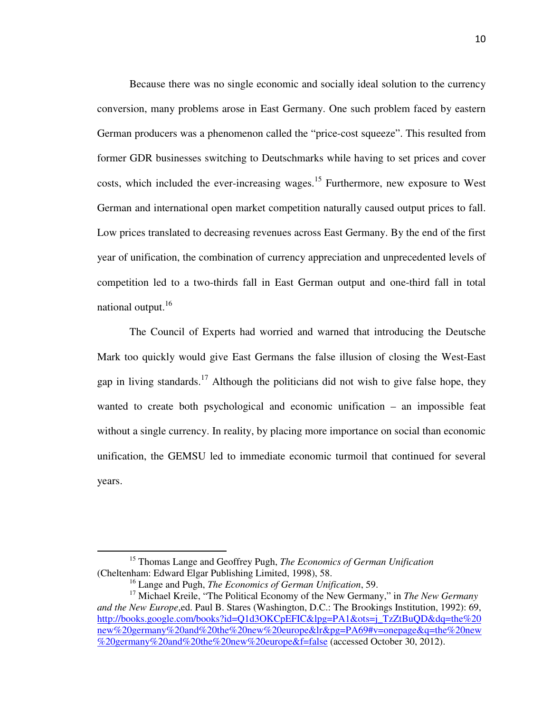Because there was no single economic and socially ideal solution to the currency conversion, many problems arose in East Germany. One such problem faced by eastern German producers was a phenomenon called the "price-cost squeeze". This resulted from former GDR businesses switching to Deutschmarks while having to set prices and cover costs, which included the ever-increasing wages.<sup>15</sup> Furthermore, new exposure to West German and international open market competition naturally caused output prices to fall. Low prices translated to decreasing revenues across East Germany. By the end of the first year of unification, the combination of currency appreciation and unprecedented levels of competition led to a two-thirds fall in East German output and one-third fall in total national output.<sup>16</sup>

The Council of Experts had worried and warned that introducing the Deutsche Mark too quickly would give East Germans the false illusion of closing the West-East gap in living standards.<sup>17</sup> Although the politicians did not wish to give false hope, they wanted to create both psychological and economic unification – an impossible feat without a single currency. In reality, by placing more importance on social than economic unification, the GEMSU led to immediate economic turmoil that continued for several years.

<sup>15</sup> Thomas Lange and Geoffrey Pugh, *The Economics of German Unification*  (Cheltenham: Edward Elgar Publishing Limited, 1998), 58.

<sup>16</sup> Lange and Pugh, *The Economics of German Unification*, 59.

<sup>&</sup>lt;sup>17</sup> Michael Kreile, "The Political Economy of the New Germany," in *The New Germany and the New Europe*,ed. Paul B. Stares (Washington, D.C.: The Brookings Institution, 1992): 69, http://books.google.com/books?id=Q1d3OKCpEFIC&lpg=PA1&ots=j\_TzZtBuQD&dq=the%20 new%20germany%20and%20the%20new%20europe&lr&pg=PA69#v=onepage&q=the%20new %20germany%20and%20the%20new%20europe&f=false (accessed October 30, 2012).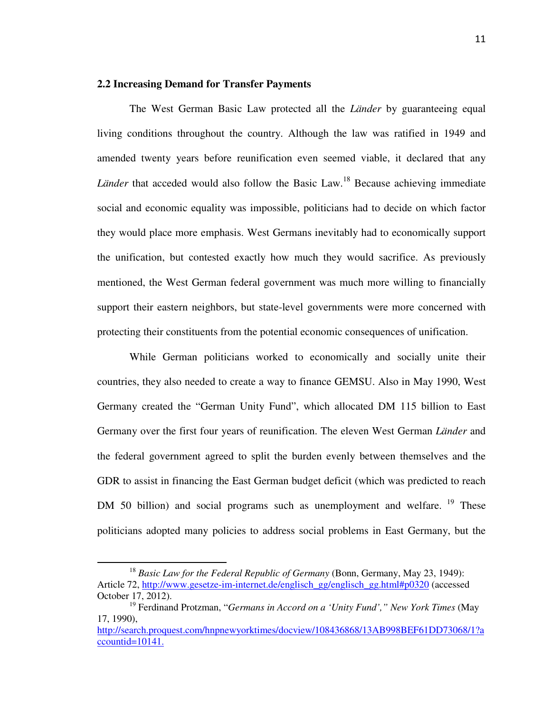## **2.2 Increasing Demand for Transfer Payments**

The West German Basic Law protected all the *Länder* by guaranteeing equal living conditions throughout the country. Although the law was ratified in 1949 and amended twenty years before reunification even seemed viable, it declared that any *Länder* that acceded would also follow the Basic Law.<sup>18</sup> Because achieving immediate social and economic equality was impossible, politicians had to decide on which factor they would place more emphasis. West Germans inevitably had to economically support the unification, but contested exactly how much they would sacrifice. As previously mentioned, the West German federal government was much more willing to financially support their eastern neighbors, but state-level governments were more concerned with protecting their constituents from the potential economic consequences of unification.

While German politicians worked to economically and socially unite their countries, they also needed to create a way to finance GEMSU. Also in May 1990, West Germany created the "German Unity Fund", which allocated DM 115 billion to East Germany over the first four years of reunification. The eleven West German *Länder* and the federal government agreed to split the burden evenly between themselves and the GDR to assist in financing the East German budget deficit (which was predicted to reach DM 50 billion) and social programs such as unemployment and welfare.<sup>19</sup> These politicians adopted many policies to address social problems in East Germany, but the

<sup>18</sup> *Basic Law for the Federal Republic of Germany* (Bonn, Germany, May 23, 1949): Article 72, http://www.gesetze-im-internet.de/englisch\_gg/englisch\_gg.html#p0320 (accessed October 17, 2012).

<sup>19</sup> Ferdinand Protzman, "*Germans in Accord on a 'Unity Fund'," New York Times* (May 17, 1990),

http://search.proquest.com/hnpnewyorktimes/docview/108436868/13AB998BEF61DD73068/1?a ccountid=10141.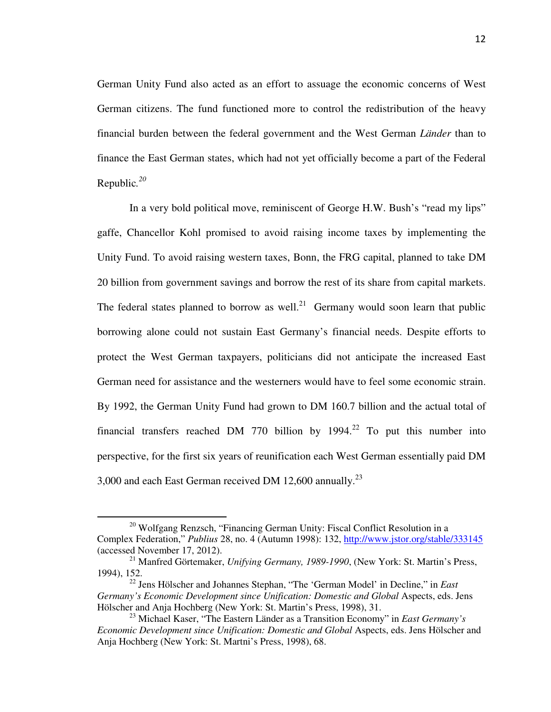German Unity Fund also acted as an effort to assuage the economic concerns of West German citizens. The fund functioned more to control the redistribution of the heavy financial burden between the federal government and the West German *Länder* than to finance the East German states, which had not yet officially become a part of the Federal Republic*. 20* 

 In a very bold political move, reminiscent of George H.W. Bush's "read my lips" gaffe, Chancellor Kohl promised to avoid raising income taxes by implementing the Unity Fund. To avoid raising western taxes, Bonn, the FRG capital, planned to take DM 20 billion from government savings and borrow the rest of its share from capital markets. The federal states planned to borrow as well.<sup>21</sup> Germany would soon learn that public borrowing alone could not sustain East Germany's financial needs. Despite efforts to protect the West German taxpayers, politicians did not anticipate the increased East German need for assistance and the westerners would have to feel some economic strain. By 1992, the German Unity Fund had grown to DM 160.7 billion and the actual total of financial transfers reached DM 770 billion by  $1994<sup>22</sup>$  To put this number into perspective, for the first six years of reunification each West German essentially paid DM 3,000 and each East German received DM 12,600 annually.<sup>23</sup>

<sup>&</sup>lt;sup>20</sup> Wolfgang Renzsch, "Financing German Unity: Fiscal Conflict Resolution in a Complex Federation," *Publius* 28, no. 4 (Autumn 1998): 132, http://www.jstor.org/stable/333145 (accessed November 17, 2012).

<sup>21</sup> Manfred Görtemaker, *Unifying Germany, 1989-1990*, (New York: St. Martin's Press, 1994), 152.

<sup>22</sup> Jens Hölscher and Johannes Stephan, "The 'German Model' in Decline," in *East Germany's Economic Development since Unification: Domestic and Global* Aspects, eds. Jens Hölscher and Anja Hochberg (New York: St. Martin's Press, 1998), 31.

<sup>23</sup> Michael Kaser, "The Eastern Länder as a Transition Economy" in *East Germany's Economic Development since Unification: Domestic and Global* Aspects, eds. Jens Hölscher and Anja Hochberg (New York: St. Martni's Press, 1998), 68.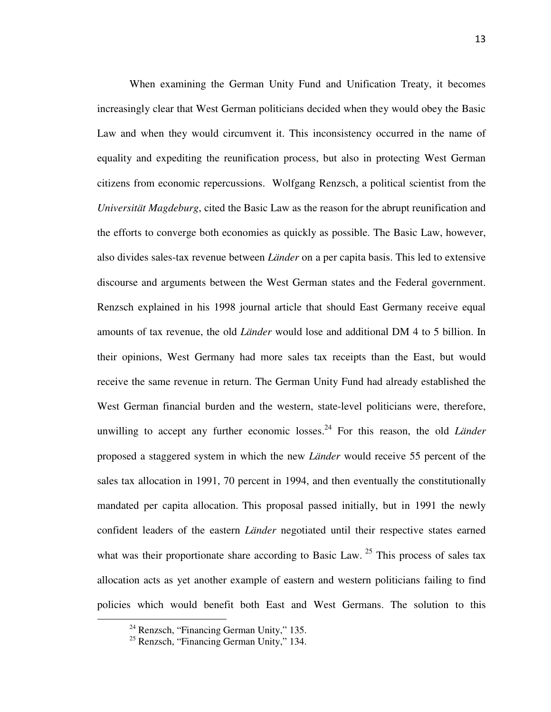When examining the German Unity Fund and Unification Treaty, it becomes increasingly clear that West German politicians decided when they would obey the Basic Law and when they would circumvent it. This inconsistency occurred in the name of equality and expediting the reunification process, but also in protecting West German citizens from economic repercussions. Wolfgang Renzsch, a political scientist from the *Universität Magdeburg*, cited the Basic Law as the reason for the abrupt reunification and the efforts to converge both economies as quickly as possible. The Basic Law, however, also divides sales-tax revenue between *Länder* on a per capita basis. This led to extensive discourse and arguments between the West German states and the Federal government. Renzsch explained in his 1998 journal article that should East Germany receive equal amounts of tax revenue, the old *Länder* would lose and additional DM 4 to 5 billion. In their opinions, West Germany had more sales tax receipts than the East, but would receive the same revenue in return. The German Unity Fund had already established the West German financial burden and the western, state-level politicians were, therefore, unwilling to accept any further economic losses.<sup>24</sup> For this reason, the old *Länder* proposed a staggered system in which the new *Länder* would receive 55 percent of the sales tax allocation in 1991, 70 percent in 1994, and then eventually the constitutionally mandated per capita allocation. This proposal passed initially, but in 1991 the newly confident leaders of the eastern *Länder* negotiated until their respective states earned what was their proportionate share according to Basic Law.<sup>25</sup> This process of sales tax allocation acts as yet another example of eastern and western politicians failing to find policies which would benefit both East and West Germans. The solution to this

 $\overline{a}$ 

 $24$  Renzsch, "Financing German Unity," 135.

<sup>&</sup>lt;sup>25</sup> Renzsch, "Financing German Unity," 134.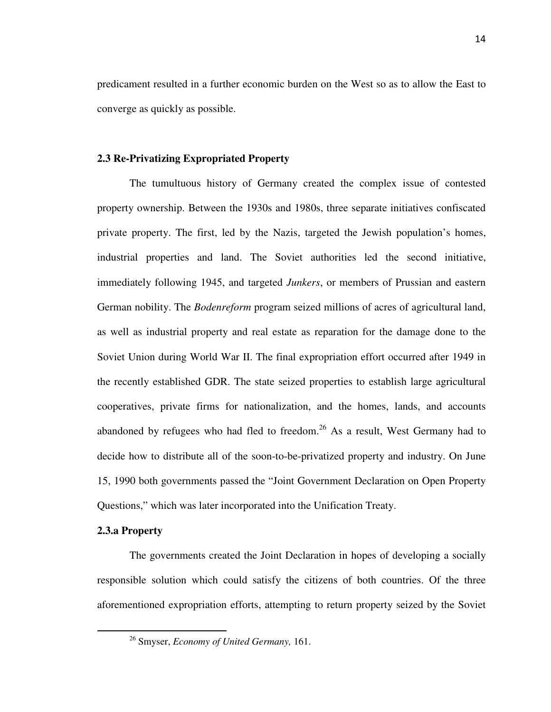predicament resulted in a further economic burden on the West so as to allow the East to converge as quickly as possible.

#### **2.3 Re-Privatizing Expropriated Property**

 The tumultuous history of Germany created the complex issue of contested property ownership. Between the 1930s and 1980s, three separate initiatives confiscated private property. The first, led by the Nazis, targeted the Jewish population's homes, industrial properties and land. The Soviet authorities led the second initiative, immediately following 1945, and targeted *Junkers*, or members of Prussian and eastern German nobility. The *Bodenreform* program seized millions of acres of agricultural land, as well as industrial property and real estate as reparation for the damage done to the Soviet Union during World War II. The final expropriation effort occurred after 1949 in the recently established GDR. The state seized properties to establish large agricultural cooperatives, private firms for nationalization, and the homes, lands, and accounts abandoned by refugees who had fled to freedom.<sup>26</sup> As a result, West Germany had to decide how to distribute all of the soon-to-be-privatized property and industry. On June 15, 1990 both governments passed the "Joint Government Declaration on Open Property Questions," which was later incorporated into the Unification Treaty.

#### **2.3.a Property**

 $\overline{a}$ 

The governments created the Joint Declaration in hopes of developing a socially responsible solution which could satisfy the citizens of both countries. Of the three aforementioned expropriation efforts, attempting to return property seized by the Soviet

<sup>26</sup> Smyser, *Economy of United Germany,* 161.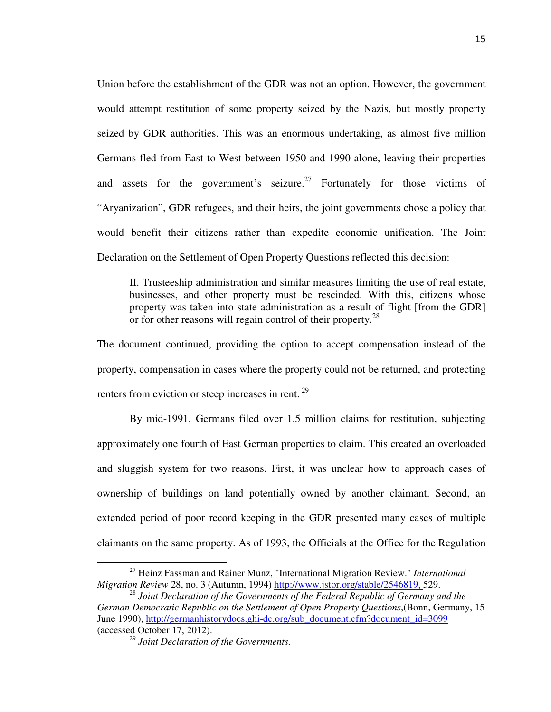Union before the establishment of the GDR was not an option. However, the government would attempt restitution of some property seized by the Nazis, but mostly property seized by GDR authorities. This was an enormous undertaking, as almost five million Germans fled from East to West between 1950 and 1990 alone, leaving their properties and assets for the government's seizure.<sup>27</sup> Fortunately for those victims of "Aryanization", GDR refugees, and their heirs, the joint governments chose a policy that would benefit their citizens rather than expedite economic unification. The Joint Declaration on the Settlement of Open Property Questions reflected this decision:

II. Trusteeship administration and similar measures limiting the use of real estate, businesses, and other property must be rescinded. With this, citizens whose property was taken into state administration as a result of flight [from the GDR] or for other reasons will regain control of their property.<sup>28</sup>

The document continued, providing the option to accept compensation instead of the property, compensation in cases where the property could not be returned, and protecting renters from eviction or steep increases in rent.<sup>29</sup>

 By mid-1991, Germans filed over 1.5 million claims for restitution, subjecting approximately one fourth of East German properties to claim. This created an overloaded and sluggish system for two reasons. First, it was unclear how to approach cases of ownership of buildings on land potentially owned by another claimant. Second, an extended period of poor record keeping in the GDR presented many cases of multiple claimants on the same property. As of 1993, the Officials at the Office for the Regulation

<sup>27</sup> Heinz Fassman and Rainer Munz, "International Migration Review." *International Migration Review* 28, no. 3 (Autumn, 1994) http://www.jstor.org/stable/2546819, 529.

<sup>&</sup>lt;sup>28</sup> Joint Declaration of the Governments of the Federal Republic of Germany and the *German Democratic Republic on the Settlement of Open Property Questions*,(Bonn, Germany, 15 June 1990), http://germanhistorydocs.ghi-dc.org/sub\_document.cfm?document\_id=3099 (accessed October 17, 2012).

<sup>29</sup> *Joint Declaration of the Governments.*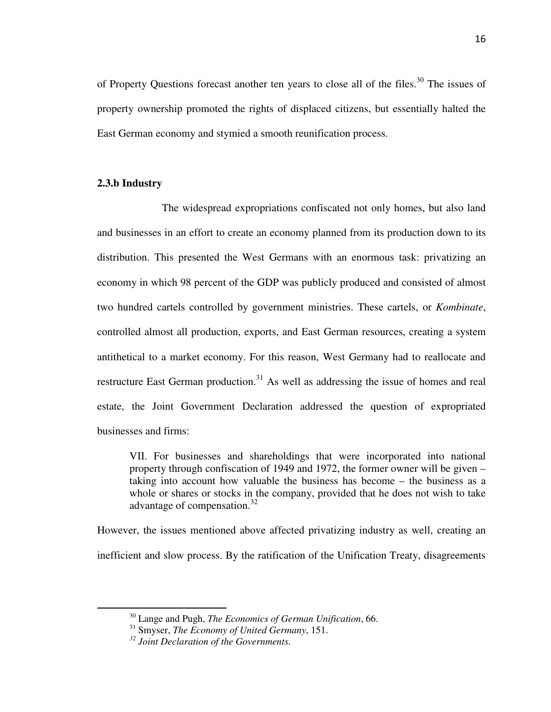of Property Questions forecast another ten years to close all of the files.<sup>30</sup> The issues of property ownership promoted the rights of displaced citizens, but essentially halted the East German economy and stymied a smooth reunification process.

#### **2.3.b Industry**

֦

The widespread expropriations confiscated not only homes, but also land and businesses in an effort to create an economy planned from its production down to its distribution. This presented the West Germans with an enormous task: privatizing an economy in which 98 percent of the GDP was publicly produced and consisted of almost two hundred cartels controlled by government ministries. These cartels, or *Kombinate*, controlled almost all production, exports, and East German resources, creating a system antithetical to a market economy. For this reason, West Germany had to reallocate and restructure East German production.<sup>31</sup> As well as addressing the issue of homes and real estate, the Joint Government Declaration addressed the question of expropriated businesses and firms:

VII. For businesses and shareholdings that were incorporated into national property through confiscation of 1949 and 1972, the former owner will be given – taking into account how valuable the business has become – the business as a whole or shares or stocks in the company, provided that he does not wish to take advantage of compensation.<sup>32</sup>

However, the issues mentioned above affected privatizing industry as well, creating an inefficient and slow process. By the ratification of the Unification Treaty, disagreements

<sup>30</sup> Lange and Pugh, *The Economics of German Unification*, 66.

<sup>31</sup> Smyser, *The Economy of United Germany*, 151.

*<sup>32</sup> Joint Declaration of the Governments.*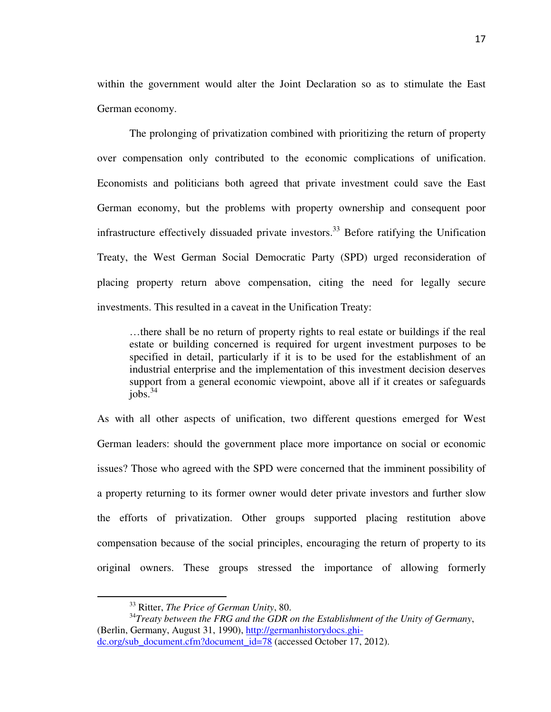within the government would alter the Joint Declaration so as to stimulate the East German economy.

The prolonging of privatization combined with prioritizing the return of property over compensation only contributed to the economic complications of unification. Economists and politicians both agreed that private investment could save the East German economy, but the problems with property ownership and consequent poor infrastructure effectively dissuaded private investors.<sup>33</sup> Before ratifying the Unification Treaty, the West German Social Democratic Party (SPD) urged reconsideration of placing property return above compensation, citing the need for legally secure investments. This resulted in a caveat in the Unification Treaty:

…there shall be no return of property rights to real estate or buildings if the real estate or building concerned is required for urgent investment purposes to be specified in detail, particularly if it is to be used for the establishment of an industrial enterprise and the implementation of this investment decision deserves support from a general economic viewpoint, above all if it creates or safeguards  $jobs.<sup>34</sup>$ 

As with all other aspects of unification, two different questions emerged for West German leaders: should the government place more importance on social or economic issues? Those who agreed with the SPD were concerned that the imminent possibility of a property returning to its former owner would deter private investors and further slow the efforts of privatization. Other groups supported placing restitution above compensation because of the social principles, encouraging the return of property to its original owners. These groups stressed the importance of allowing formerly

֦

<sup>33</sup> Ritter, *The Price of German Unity*, 80.

<sup>34</sup>*Treaty between the FRG and the GDR on the Establishment of the Unity of Germany*, (Berlin, Germany, August 31, 1990), http://germanhistorydocs.ghi-

dc.org/sub\_document.cfm?document\_id=78 (accessed October 17, 2012).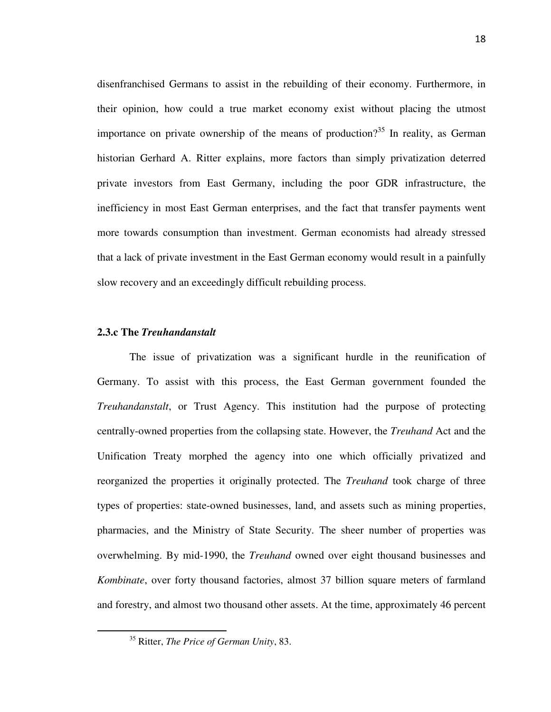disenfranchised Germans to assist in the rebuilding of their economy. Furthermore, in their opinion, how could a true market economy exist without placing the utmost importance on private ownership of the means of production?<sup>35</sup> In reality, as German historian Gerhard A. Ritter explains, more factors than simply privatization deterred private investors from East Germany, including the poor GDR infrastructure, the inefficiency in most East German enterprises, and the fact that transfer payments went more towards consumption than investment. German economists had already stressed that a lack of private investment in the East German economy would result in a painfully slow recovery and an exceedingly difficult rebuilding process.

#### **2.3.c The** *Treuhandanstalt*

The issue of privatization was a significant hurdle in the reunification of Germany. To assist with this process, the East German government founded the *Treuhandanstalt*, or Trust Agency. This institution had the purpose of protecting centrally-owned properties from the collapsing state. However, the *Treuhand* Act and the Unification Treaty morphed the agency into one which officially privatized and reorganized the properties it originally protected. The *Treuhand* took charge of three types of properties: state-owned businesses, land, and assets such as mining properties, pharmacies, and the Ministry of State Security. The sheer number of properties was overwhelming. By mid-1990, the *Treuhand* owned over eight thousand businesses and *Kombinate*, over forty thousand factories, almost 37 billion square meters of farmland and forestry, and almost two thousand other assets. At the time, approximately 46 percent

<sup>35</sup> Ritter, *The Price of German Unity*, 83.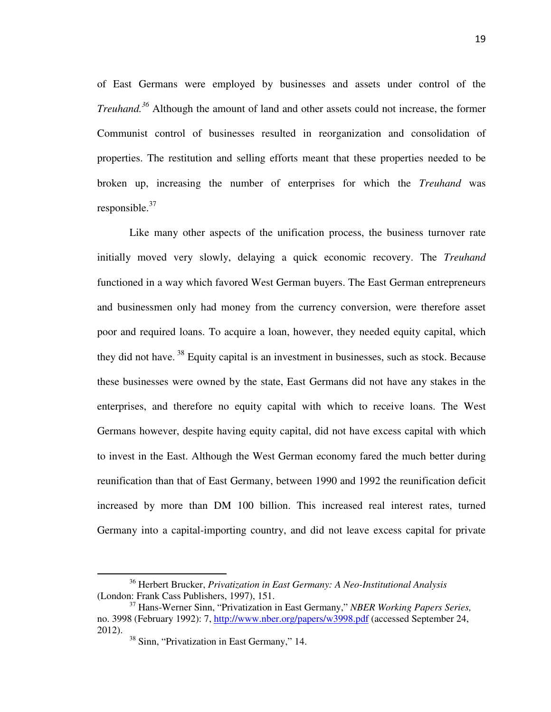of East Germans were employed by businesses and assets under control of the *Treuhand.<sup>36</sup>* Although the amount of land and other assets could not increase, the former Communist control of businesses resulted in reorganization and consolidation of properties. The restitution and selling efforts meant that these properties needed to be broken up, increasing the number of enterprises for which the *Treuhand* was responsible. $37$ 

 Like many other aspects of the unification process, the business turnover rate initially moved very slowly, delaying a quick economic recovery. The *Treuhand* functioned in a way which favored West German buyers. The East German entrepreneurs and businessmen only had money from the currency conversion, were therefore asset poor and required loans. To acquire a loan, however, they needed equity capital, which they did not have.<sup>38</sup> Equity capital is an investment in businesses, such as stock. Because these businesses were owned by the state, East Germans did not have any stakes in the enterprises, and therefore no equity capital with which to receive loans. The West Germans however, despite having equity capital, did not have excess capital with which to invest in the East. Although the West German economy fared the much better during reunification than that of East Germany, between 1990 and 1992 the reunification deficit increased by more than DM 100 billion. This increased real interest rates, turned Germany into a capital-importing country, and did not leave excess capital for private

<sup>36</sup> Herbert Brucker, *Privatization in East Germany: A Neo-Institutional Analysis* (London: Frank Cass Publishers, 1997), 151.

<sup>37</sup> Hans-Werner Sinn, "Privatization in East Germany," *NBER Working Papers Series,*  no. 3998 (February 1992): 7, http://www.nber.org/papers/w3998.pdf (accessed September 24, 2012).

<sup>&</sup>lt;sup>38</sup> Sinn, "Privatization in East Germany," 14.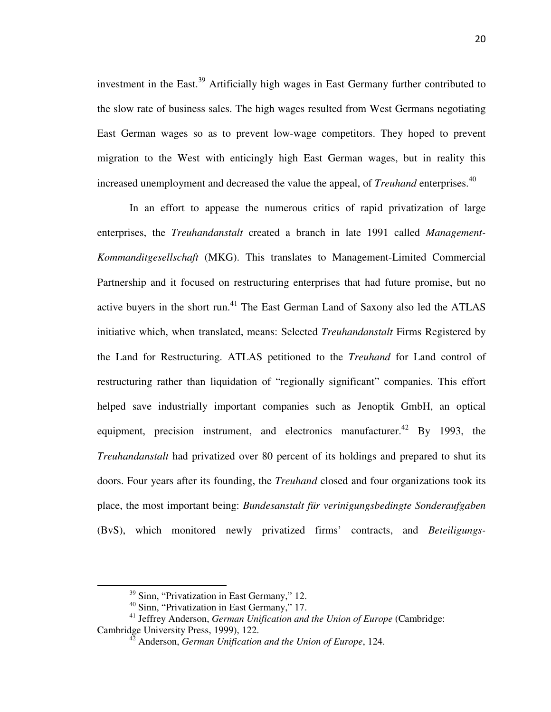investment in the East.<sup>39</sup> Artificially high wages in East Germany further contributed to the slow rate of business sales. The high wages resulted from West Germans negotiating East German wages so as to prevent low-wage competitors. They hoped to prevent migration to the West with enticingly high East German wages, but in reality this increased unemployment and decreased the value the appeal, of *Treuhand* enterprises.<sup>40</sup>

 In an effort to appease the numerous critics of rapid privatization of large enterprises, the *Treuhandanstalt* created a branch in late 1991 called *Management-Kommanditgesellschaft* (MKG). This translates to Management-Limited Commercial Partnership and it focused on restructuring enterprises that had future promise, but no active buyers in the short run.<sup>41</sup> The East German Land of Saxony also led the ATLAS initiative which, when translated, means: Selected *Treuhandanstalt* Firms Registered by the Land for Restructuring. ATLAS petitioned to the *Treuhand* for Land control of restructuring rather than liquidation of "regionally significant" companies. This effort helped save industrially important companies such as Jenoptik GmbH, an optical equipment, precision instrument, and electronics manufacturer.<sup>42</sup> By 1993, the *Treuhandanstalt* had privatized over 80 percent of its holdings and prepared to shut its doors. Four years after its founding, the *Treuhand* closed and four organizations took its place, the most important being: *Bundesanstalt für verinigungsbedingte Sonderaufgaben*  (BvS), which monitored newly privatized firms' contracts, and *Beteiligungs-*

<sup>&</sup>lt;sup>39</sup> Sinn, "Privatization in East Germany," 12.

<sup>40</sup> Sinn, "Privatization in East Germany," 17.

<sup>&</sup>lt;sup>41</sup> Jeffrey Anderson, *German Unification and the Union of Europe* (Cambridge: Cambridge University Press, 1999), 122.

<sup>42</sup> Anderson, *German Unification and the Union of Europe*, 124.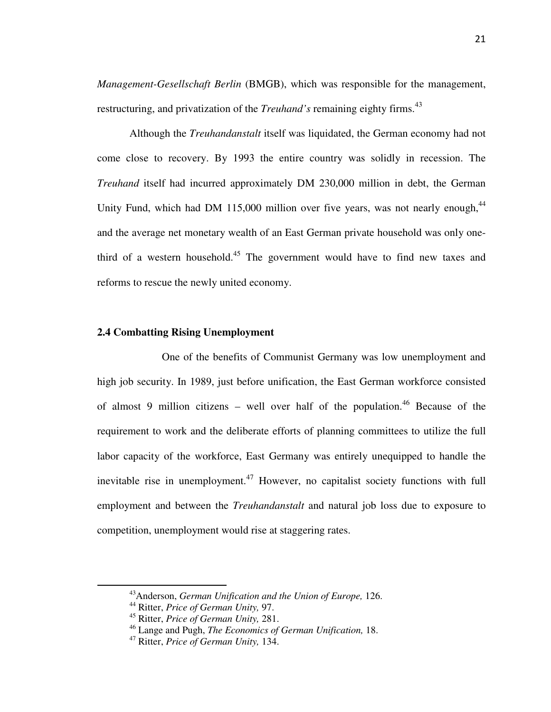*Management-Gesellschaft Berlin* (BMGB), which was responsible for the management, restructuring, and privatization of the *Treuhand's* remaining eighty firms.<sup>43</sup>

 Although the *Treuhandanstalt* itself was liquidated, the German economy had not come close to recovery. By 1993 the entire country was solidly in recession. The *Treuhand* itself had incurred approximately DM 230,000 million in debt, the German Unity Fund, which had DM 115,000 million over five years, was not nearly enough,  $44$ and the average net monetary wealth of an East German private household was only onethird of a western household.<sup>45</sup> The government would have to find new taxes and reforms to rescue the newly united economy.

### **2.4 Combatting Rising Unemployment**

One of the benefits of Communist Germany was low unemployment and high job security. In 1989, just before unification, the East German workforce consisted of almost 9 million citizens – well over half of the population.<sup>46</sup> Because of the requirement to work and the deliberate efforts of planning committees to utilize the full labor capacity of the workforce, East Germany was entirely unequipped to handle the inevitable rise in unemployment.<sup>47</sup> However, no capitalist society functions with full employment and between the *Treuhandanstalt* and natural job loss due to exposure to competition, unemployment would rise at staggering rates.

 $\overline{a}$ 

<sup>43</sup>Anderson, *German Unification and the Union of Europe,* 126.

<sup>44</sup> Ritter, *Price of German Unity,* 97.

<sup>45</sup> Ritter, *Price of German Unity,* 281.

<sup>46</sup> Lange and Pugh, *The Economics of German Unification,* 18.

<sup>47</sup> Ritter, *Price of German Unity,* 134.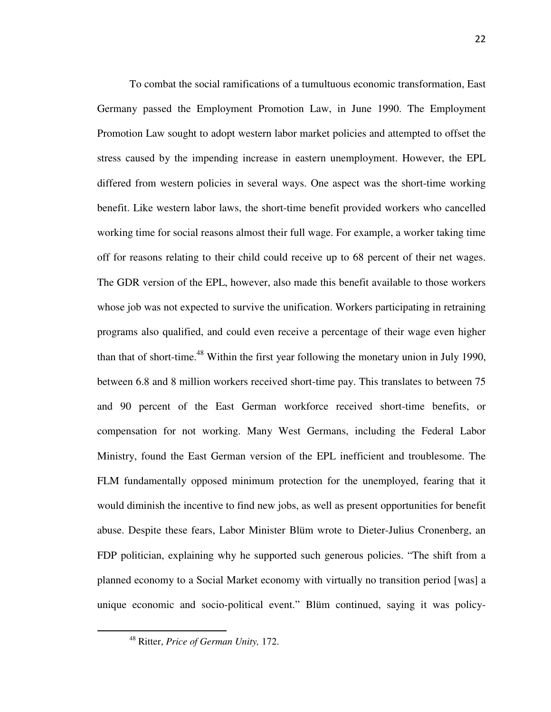To combat the social ramifications of a tumultuous economic transformation, East Germany passed the Employment Promotion Law, in June 1990. The Employment Promotion Law sought to adopt western labor market policies and attempted to offset the stress caused by the impending increase in eastern unemployment. However, the EPL differed from western policies in several ways. One aspect was the short-time working benefit. Like western labor laws, the short-time benefit provided workers who cancelled working time for social reasons almost their full wage. For example, a worker taking time off for reasons relating to their child could receive up to 68 percent of their net wages. The GDR version of the EPL, however, also made this benefit available to those workers whose job was not expected to survive the unification. Workers participating in retraining programs also qualified, and could even receive a percentage of their wage even higher than that of short-time.<sup>48</sup> Within the first year following the monetary union in July 1990, between 6.8 and 8 million workers received short-time pay. This translates to between 75 and 90 percent of the East German workforce received short-time benefits, or compensation for not working. Many West Germans, including the Federal Labor Ministry, found the East German version of the EPL inefficient and troublesome. The FLM fundamentally opposed minimum protection for the unemployed, fearing that it would diminish the incentive to find new jobs, as well as present opportunities for benefit abuse. Despite these fears, Labor Minister Blüm wrote to Dieter-Julius Cronenberg, an FDP politician, explaining why he supported such generous policies. "The shift from a planned economy to a Social Market economy with virtually no transition period [was] a unique economic and socio-political event." Blüm continued, saying it was policy-

 $\overline{a}$ 

<sup>48</sup> Ritter, *Price of German Unity,* 172.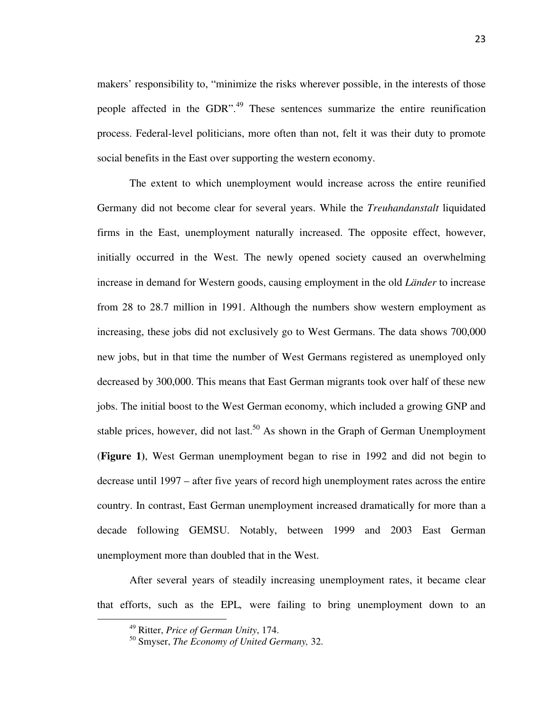makers' responsibility to, "minimize the risks wherever possible, in the interests of those people affected in the GDR".<sup>49</sup> These sentences summarize the entire reunification process. Federal-level politicians, more often than not, felt it was their duty to promote social benefits in the East over supporting the western economy.

 The extent to which unemployment would increase across the entire reunified Germany did not become clear for several years. While the *Treuhandanstalt* liquidated firms in the East, unemployment naturally increased. The opposite effect, however, initially occurred in the West. The newly opened society caused an overwhelming increase in demand for Western goods, causing employment in the old *Länder* to increase from 28 to 28.7 million in 1991. Although the numbers show western employment as increasing, these jobs did not exclusively go to West Germans. The data shows 700,000 new jobs, but in that time the number of West Germans registered as unemployed only decreased by 300,000. This means that East German migrants took over half of these new jobs. The initial boost to the West German economy, which included a growing GNP and stable prices, however, did not last.<sup>50</sup> As shown in the Graph of German Unemployment (**Figure 1)**, West German unemployment began to rise in 1992 and did not begin to decrease until 1997 – after five years of record high unemployment rates across the entire country. In contrast, East German unemployment increased dramatically for more than a decade following GEMSU. Notably, between 1999 and 2003 East German unemployment more than doubled that in the West.

 After several years of steadily increasing unemployment rates, it became clear that efforts, such as the EPL*,* were failing to bring unemployment down to an

<sup>49</sup> Ritter, *Price of German Unity*, 174.

<sup>50</sup> Smyser, *The Economy of United Germany,* 32.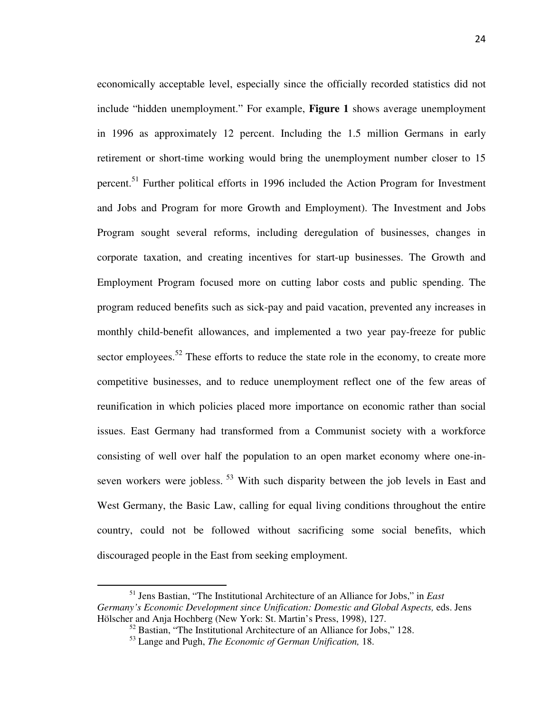economically acceptable level, especially since the officially recorded statistics did not include "hidden unemployment." For example, **Figure 1** shows average unemployment in 1996 as approximately 12 percent. Including the 1.5 million Germans in early retirement or short-time working would bring the unemployment number closer to 15 percent.<sup>51</sup> Further political efforts in 1996 included the Action Program for Investment and Jobs and Program for more Growth and Employment). The Investment and Jobs Program sought several reforms, including deregulation of businesses, changes in corporate taxation, and creating incentives for start-up businesses. The Growth and Employment Program focused more on cutting labor costs and public spending. The program reduced benefits such as sick-pay and paid vacation, prevented any increases in monthly child-benefit allowances, and implemented a two year pay-freeze for public sector employees.<sup>52</sup> These efforts to reduce the state role in the economy, to create more competitive businesses, and to reduce unemployment reflect one of the few areas of reunification in which policies placed more importance on economic rather than social issues. East Germany had transformed from a Communist society with a workforce consisting of well over half the population to an open market economy where one-inseven workers were jobless.<sup>53</sup> With such disparity between the job levels in East and West Germany, the Basic Law, calling for equal living conditions throughout the entire country, could not be followed without sacrificing some social benefits, which discouraged people in the East from seeking employment.

 $\overline{a}$ 

<sup>51</sup> Jens Bastian, "The Institutional Architecture of an Alliance for Jobs," in *East Germany's Economic Development since Unification: Domestic and Global Aspects,* eds. Jens Hölscher and Anja Hochberg (New York: St. Martin's Press, 1998), 127.

 $52$  Bastian, "The Institutional Architecture of an Alliance for Jobs," 128.

<sup>53</sup> Lange and Pugh, *The Economic of German Unification,* 18.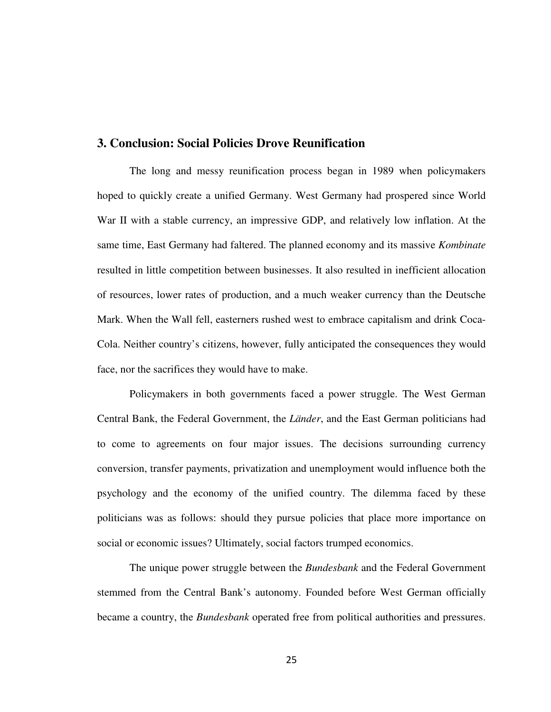### **3. Conclusion: Social Policies Drove Reunification**

 The long and messy reunification process began in 1989 when policymakers hoped to quickly create a unified Germany. West Germany had prospered since World War II with a stable currency, an impressive GDP, and relatively low inflation. At the same time, East Germany had faltered. The planned economy and its massive *Kombinate*  resulted in little competition between businesses. It also resulted in inefficient allocation of resources, lower rates of production, and a much weaker currency than the Deutsche Mark. When the Wall fell, easterners rushed west to embrace capitalism and drink Coca-Cola. Neither country's citizens, however, fully anticipated the consequences they would face, nor the sacrifices they would have to make.

 Policymakers in both governments faced a power struggle. The West German Central Bank, the Federal Government, the *Länder*, and the East German politicians had to come to agreements on four major issues. The decisions surrounding currency conversion, transfer payments, privatization and unemployment would influence both the psychology and the economy of the unified country. The dilemma faced by these politicians was as follows: should they pursue policies that place more importance on social or economic issues? Ultimately, social factors trumped economics.

 The unique power struggle between the *Bundesbank* and the Federal Government stemmed from the Central Bank's autonomy. Founded before West German officially became a country, the *Bundesbank* operated free from political authorities and pressures.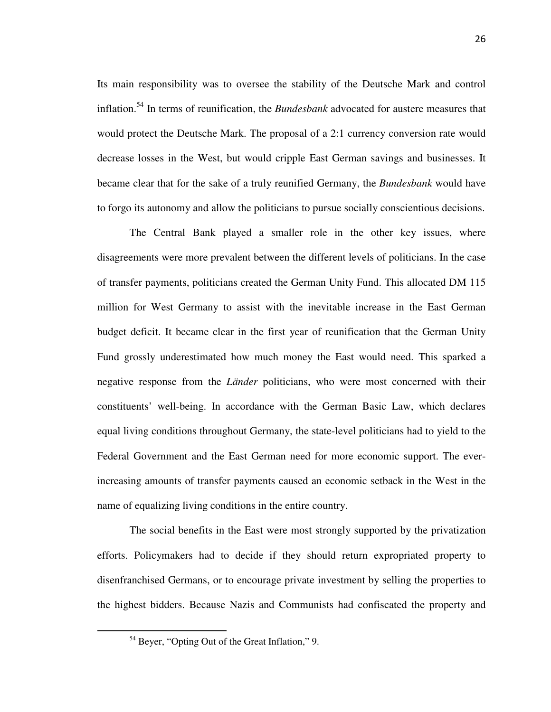Its main responsibility was to oversee the stability of the Deutsche Mark and control inflation.<sup>54</sup> In terms of reunification, the *Bundesbank* advocated for austere measures that would protect the Deutsche Mark. The proposal of a 2:1 currency conversion rate would decrease losses in the West, but would cripple East German savings and businesses. It became clear that for the sake of a truly reunified Germany, the *Bundesbank* would have to forgo its autonomy and allow the politicians to pursue socially conscientious decisions.

 The Central Bank played a smaller role in the other key issues, where disagreements were more prevalent between the different levels of politicians. In the case of transfer payments, politicians created the German Unity Fund. This allocated DM 115 million for West Germany to assist with the inevitable increase in the East German budget deficit. It became clear in the first year of reunification that the German Unity Fund grossly underestimated how much money the East would need. This sparked a negative response from the *Länder* politicians, who were most concerned with their constituents' well-being. In accordance with the German Basic Law, which declares equal living conditions throughout Germany, the state-level politicians had to yield to the Federal Government and the East German need for more economic support. The everincreasing amounts of transfer payments caused an economic setback in the West in the name of equalizing living conditions in the entire country.

The social benefits in the East were most strongly supported by the privatization efforts. Policymakers had to decide if they should return expropriated property to disenfranchised Germans, or to encourage private investment by selling the properties to the highest bidders. Because Nazis and Communists had confiscated the property and

 $\overline{a}$ 

<sup>54</sup> Beyer, "Opting Out of the Great Inflation," 9.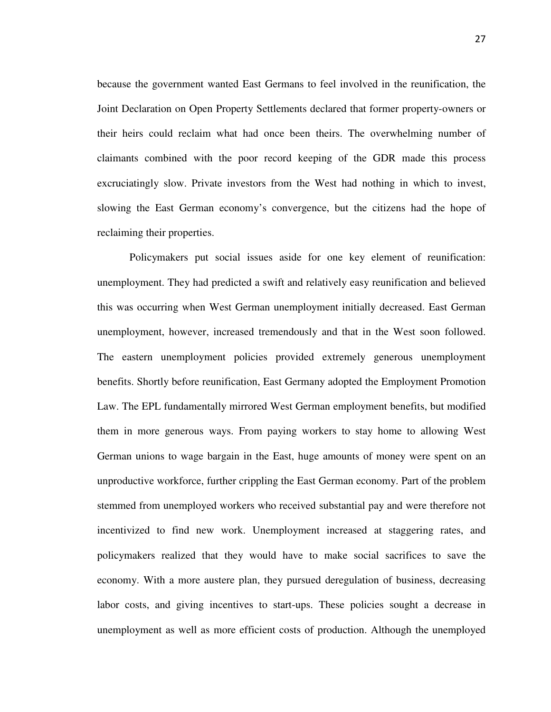because the government wanted East Germans to feel involved in the reunification, the Joint Declaration on Open Property Settlements declared that former property-owners or their heirs could reclaim what had once been theirs. The overwhelming number of claimants combined with the poor record keeping of the GDR made this process excruciatingly slow. Private investors from the West had nothing in which to invest, slowing the East German economy's convergence, but the citizens had the hope of reclaiming their properties.

 Policymakers put social issues aside for one key element of reunification: unemployment. They had predicted a swift and relatively easy reunification and believed this was occurring when West German unemployment initially decreased. East German unemployment, however, increased tremendously and that in the West soon followed. The eastern unemployment policies provided extremely generous unemployment benefits. Shortly before reunification, East Germany adopted the Employment Promotion Law. The EPL fundamentally mirrored West German employment benefits, but modified them in more generous ways. From paying workers to stay home to allowing West German unions to wage bargain in the East, huge amounts of money were spent on an unproductive workforce, further crippling the East German economy. Part of the problem stemmed from unemployed workers who received substantial pay and were therefore not incentivized to find new work. Unemployment increased at staggering rates, and policymakers realized that they would have to make social sacrifices to save the economy. With a more austere plan, they pursued deregulation of business, decreasing labor costs, and giving incentives to start-ups. These policies sought a decrease in unemployment as well as more efficient costs of production. Although the unemployed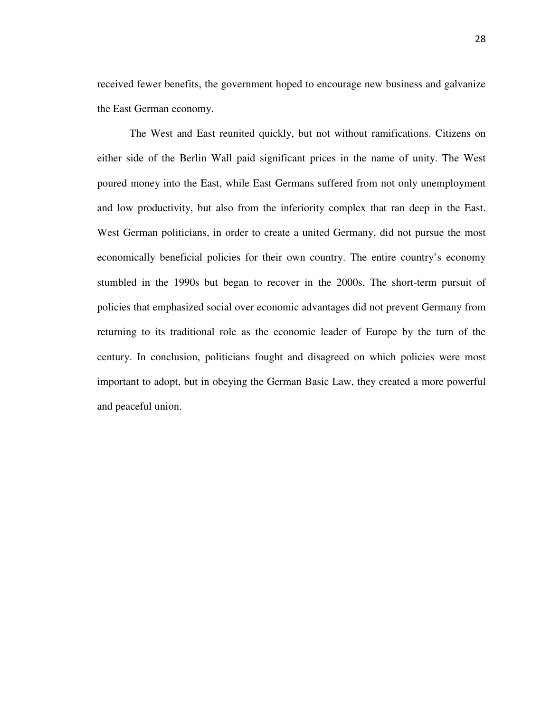received fewer benefits, the government hoped to encourage new business and galvanize the East German economy.

The West and East reunited quickly, but not without ramifications. Citizens on either side of the Berlin Wall paid significant prices in the name of unity. The West poured money into the East, while East Germans suffered from not only unemployment and low productivity, but also from the inferiority complex that ran deep in the East. West German politicians, in order to create a united Germany, did not pursue the most economically beneficial policies for their own country. The entire country's economy stumbled in the 1990s but began to recover in the 2000s. The short-term pursuit of policies that emphasized social over economic advantages did not prevent Germany from returning to its traditional role as the economic leader of Europe by the turn of the century. In conclusion, politicians fought and disagreed on which policies were most important to adopt, but in obeying the German Basic Law, they created a more powerful and peaceful union.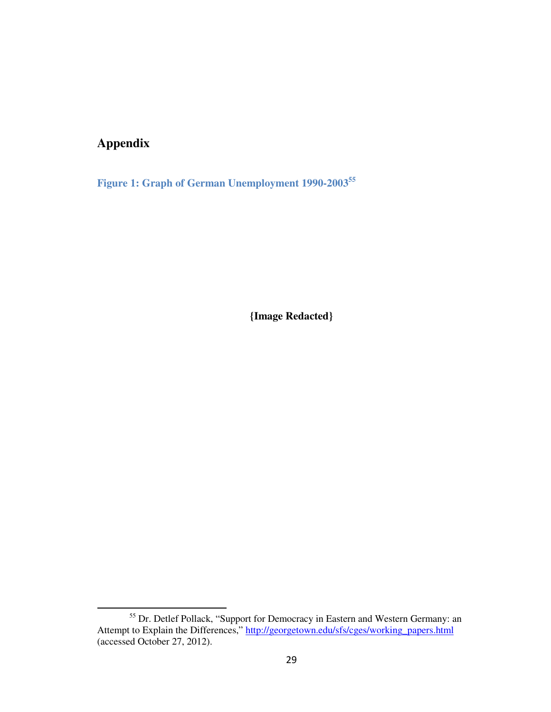# **Appendix**

.

**Figure 1: Graph of German Unemployment 1990-2003<sup>55</sup>**

**{Image Redacted}**

<sup>&</sup>lt;sup>55</sup> Dr. Detlef Pollack, "Support for Democracy in Eastern and Western Germany: an Attempt to Explain the Differences," http://georgetown.edu/sfs/cges/working\_papers.html (accessed October 27, 2012).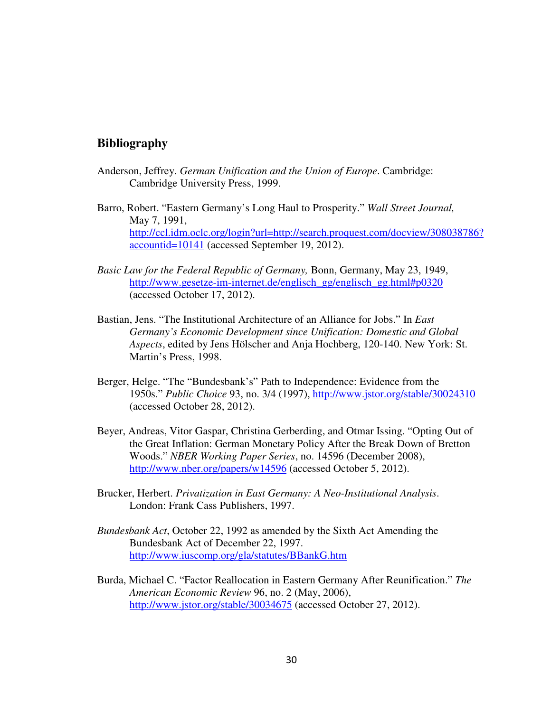# **Bibliography**

- Anderson, Jeffrey. *German Unification and the Union of Europe*. Cambridge: Cambridge University Press, 1999.
- Barro, Robert. "Eastern Germany's Long Haul to Prosperity." *Wall Street Journal,*  May 7, 1991, http://ccl.idm.oclc.org/login?url=http://search.proquest.com/docview/308038786? accountid=10141 (accessed September 19, 2012).
- *Basic Law for the Federal Republic of Germany,* Bonn, Germany, May 23, 1949, http://www.gesetze-im-internet.de/englisch\_gg/englisch\_gg.html#p0320 (accessed October 17, 2012).
- Bastian, Jens. "The Institutional Architecture of an Alliance for Jobs." In *East Germany's Economic Development since Unification: Domestic and Global Aspects*, edited by Jens Hölscher and Anja Hochberg, 120-140. New York: St. Martin's Press, 1998.
- Berger, Helge. "The "Bundesbank's" Path to Independence: Evidence from the 1950s." *Public Choice* 93, no. 3/4 (1997), http://www.jstor.org/stable/30024310 (accessed October 28, 2012).
- Beyer, Andreas, Vitor Gaspar, Christina Gerberding, and Otmar Issing. "Opting Out of the Great Inflation: German Monetary Policy After the Break Down of Bretton Woods." *NBER Working Paper Series*, no. 14596 (December 2008), http://www.nber.org/papers/w14596 (accessed October 5, 2012).
- Brucker, Herbert. *Privatization in East Germany: A Neo-Institutional Analysis*. London: Frank Cass Publishers, 1997.
- *Bundesbank Act*, October 22, 1992 as amended by the Sixth Act Amending the Bundesbank Act of December 22, 1997. http://www.iuscomp.org/gla/statutes/BBankG.htm
- Burda, Michael C. "Factor Reallocation in Eastern Germany After Reunification." *The American Economic Review* 96, no. 2 (May, 2006), http://www.jstor.org/stable/30034675 (accessed October 27, 2012).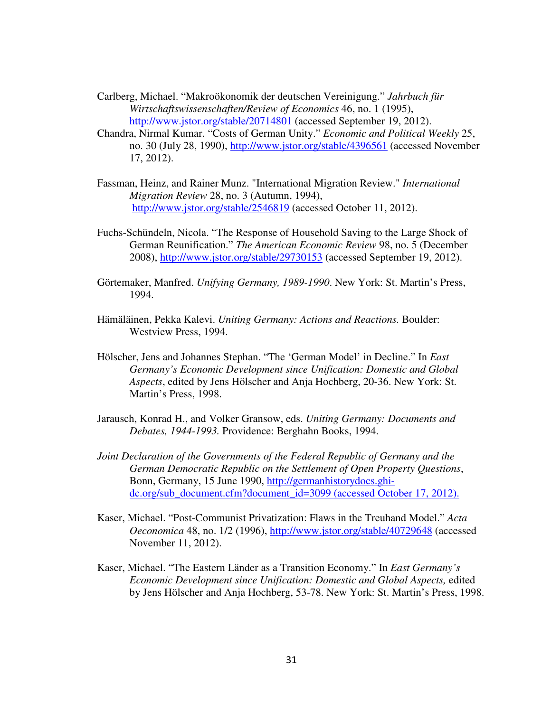Carlberg, Michael. "Makroökonomik der deutschen Vereinigung." *Jahrbuch für Wirtschaftswissenschaften/Review of Economics* 46, no. 1 (1995), http://www.jstor.org/stable/20714801 (accessed September 19, 2012).

- Chandra, Nirmal Kumar. "Costs of German Unity." *Economic and Political Weekly* 25, no. 30 (July 28, 1990), http://www.jstor.org/stable/4396561 (accessed November 17, 2012).
- Fassman, Heinz, and Rainer Munz. "International Migration Review." *International Migration Review* 28, no. 3 (Autumn, 1994), http://www.jstor.org/stable/2546819 (accessed October 11, 2012).
- Fuchs-Schündeln, Nicola. "The Response of Household Saving to the Large Shock of German Reunification." *The American Economic Review* 98, no. 5 (December 2008), http://www.jstor.org/stable/29730153 (accessed September 19, 2012).
- Görtemaker, Manfred. *Unifying Germany, 1989-1990*. New York: St. Martin's Press, 1994.
- Hämäläinen, Pekka Kalevi. *Uniting Germany: Actions and Reactions.* Boulder: Westview Press, 1994.
- Hölscher, Jens and Johannes Stephan. "The 'German Model' in Decline." In *East Germany's Economic Development since Unification: Domestic and Global Aspects*, edited by Jens Hölscher and Anja Hochberg, 20-36. New York: St. Martin's Press, 1998.
- Jarausch, Konrad H., and Volker Gransow, eds. *Uniting Germany: Documents and Debates, 1944-1993.* Providence: Berghahn Books, 1994.
- *Joint Declaration of the Governments of the Federal Republic of Germany and the German Democratic Republic on the Settlement of Open Property Questions*, Bonn, Germany, 15 June 1990, http://germanhistorydocs.ghidc.org/sub\_document.cfm?document\_id=3099 (accessed October 17, 2012).
- Kaser, Michael. "Post-Communist Privatization: Flaws in the Treuhand Model." *Acta Oeconomica* 48, no. 1/2 (1996), http://www.jstor.org/stable/40729648 (accessed November 11, 2012).
- Kaser, Michael. "The Eastern Länder as a Transition Economy." In *East Germany's Economic Development since Unification: Domestic and Global Aspects,* edited by Jens Hölscher and Anja Hochberg, 53-78. New York: St. Martin's Press, 1998.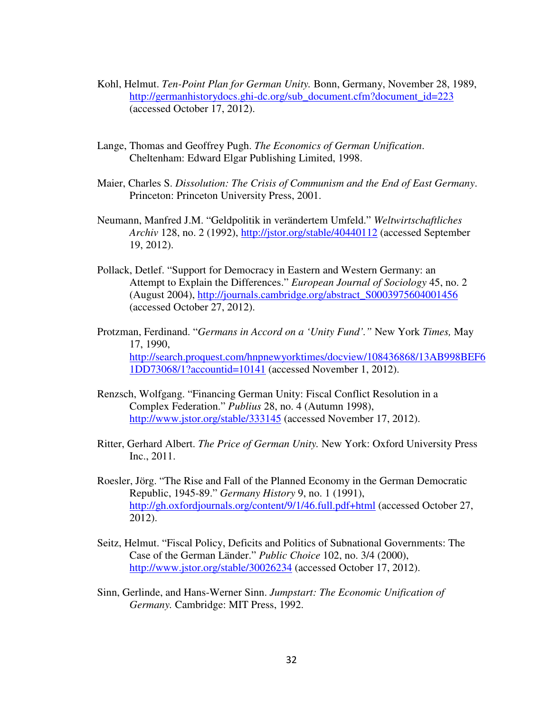- Kohl, Helmut. *Ten-Point Plan for German Unity.* Bonn, Germany, November 28, 1989, http://germanhistorydocs.ghi-dc.org/sub\_document.cfm?document\_id=223 (accessed October 17, 2012).
- Lange, Thomas and Geoffrey Pugh. *The Economics of German Unification*. Cheltenham: Edward Elgar Publishing Limited, 1998.
- Maier, Charles S. *Dissolution: The Crisis of Communism and the End of East Germany*. Princeton: Princeton University Press, 2001.
- Neumann, Manfred J.M. "Geldpolitik in verändertem Umfeld." *Weltwirtschaftliches Archiv* 128, no. 2 (1992), http://jstor.org/stable/40440112 (accessed September 19, 2012).
- Pollack, Detlef. "Support for Democracy in Eastern and Western Germany: an Attempt to Explain the Differences." *European Journal of Sociology* 45, no. 2 (August 2004), http://journals.cambridge.org/abstract\_S0003975604001456 (accessed October 27, 2012).
- Protzman, Ferdinand. "*Germans in Accord on a 'Unity Fund'."* New York *Times,* May 17, 1990, http://search.proquest.com/hnpnewyorktimes/docview/108436868/13AB998BEF6 1DD73068/1?accountid=10141 (accessed November 1, 2012).
- Renzsch, Wolfgang. "Financing German Unity: Fiscal Conflict Resolution in a Complex Federation." *Publius* 28, no. 4 (Autumn 1998), http://www.jstor.org/stable/333145 (accessed November 17, 2012).
- Ritter, Gerhard Albert. *The Price of German Unity.* New York: Oxford University Press Inc., 2011.
- Roesler, Jörg. "The Rise and Fall of the Planned Economy in the German Democratic Republic, 1945-89." *Germany History* 9, no. 1 (1991), http://gh.oxfordjournals.org/content/9/1/46.full.pdf+html (accessed October 27, 2012).
- Seitz, Helmut. "Fiscal Policy, Deficits and Politics of Subnational Governments: The Case of the German Länder." *Public Choice* 102, no. 3/4 (2000), http://www.jstor.org/stable/30026234 (accessed October 17, 2012).
- Sinn, Gerlinde, and Hans-Werner Sinn. *Jumpstart: The Economic Unification of Germany.* Cambridge: MIT Press, 1992.